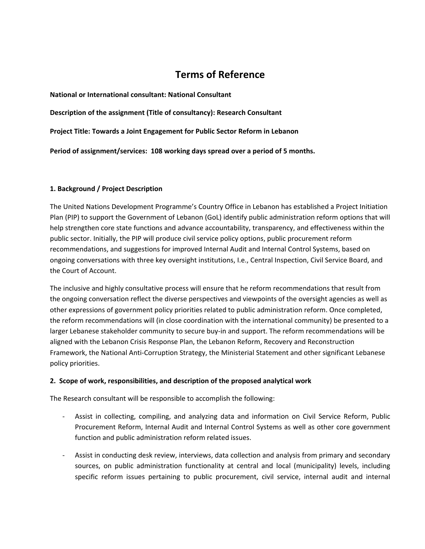# **Terms of Reference**

**National or International consultant: National Consultant**

**Description of the assignment (Title of consultancy): Research Consultant**

**Project Title: Towards a Joint Engagement for Public Sector Reform in Lebanon**

**Period of assignment/services: 108 working days spread over a period of 5 months.**

#### **1. Background / Project Description**

The United Nations Development Programme's Country Office in Lebanon has established a Project Initiation Plan (PIP) to support the Government of Lebanon (GoL) identify public administration reform options that will help strengthen core state functions and advance accountability, transparency, and effectiveness within the public sector. Initially, the PIP will produce civil service policy options, public procurement reform recommendations, and suggestions for improved Internal Audit and Internal Control Systems, based on ongoing conversations with three key oversight institutions, I.e., Central Inspection, Civil Service Board, and the Court of Account.

The inclusive and highly consultative process will ensure that he reform recommendations that result from the ongoing conversation reflect the diverse perspectives and viewpoints of the oversight agencies as well as other expressions of government policy priorities related to public administration reform. Once completed, the reform recommendations will (in close coordination with the international community) be presented to a larger Lebanese stakeholder community to secure buy-in and support. The reform recommendations will be aligned with the Lebanon Crisis Response Plan, the Lebanon Reform, Recovery and Reconstruction Framework, the National Anti-Corruption Strategy, the Ministerial Statement and other significant Lebanese policy priorities.

#### **2. Scope of work, responsibilities, and description of the proposed analytical work**

The Research consultant will be responsible to accomplish the following:

- Assist in collecting, compiling, and analyzing data and information on Civil Service Reform, Public Procurement Reform, Internal Audit and Internal Control Systems as well as other core government function and public administration reform related issues.
- Assist in conducting desk review, interviews, data collection and analysis from primary and secondary sources, on public administration functionality at central and local (municipality) levels, including specific reform issues pertaining to public procurement, civil service, internal audit and internal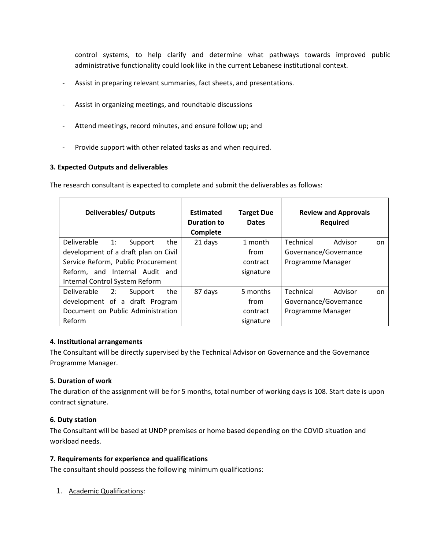control systems, to help clarify and determine what pathways towards improved public administrative functionality could look like in the current Lebanese institutional context.

- Assist in preparing relevant summaries, fact sheets, and presentations.
- Assist in organizing meetings, and roundtable discussions
- Attend meetings, record minutes, and ensure follow up; and
- Provide support with other related tasks as and when required.

# **3. Expected Outputs and deliverables**

The research consultant is expected to complete and submit the deliverables as follows:

| <b>Deliverables/ Outputs</b>         | Estimated<br><b>Duration to</b><br>Complete | <b>Target Due</b><br><b>Dates</b> | <b>Review and Approvals</b><br><b>Required</b> |
|--------------------------------------|---------------------------------------------|-----------------------------------|------------------------------------------------|
| Deliverable 1:<br>the<br>Support     | 21 days                                     | 1 month                           | Advisor<br>Technical<br>on.                    |
| development of a draft plan on Civil |                                             | from                              | Governance/Governance                          |
| Service Reform, Public Procurement   |                                             | contract                          | Programme Manager                              |
| Reform, and Internal Audit and       |                                             | signature                         |                                                |
| Internal Control System Reform       |                                             |                                   |                                                |
| Deliverable<br>2:<br>the<br>Support  | 87 days                                     | 5 months                          | Technical<br>Advisor<br>on.                    |
| development of a draft Program       |                                             | from                              | Governance/Governance                          |
| Document on Public Administration    |                                             | contract                          | Programme Manager                              |
| Reform                               |                                             | signature                         |                                                |

# **4. Institutional arrangements**

The Consultant will be directly supervised by the Technical Advisor on Governance and the Governance Programme Manager.

# **5. Duration of work**

The duration of the assignment will be for 5 months, total number of working days is 108. Start date is upon contract signature.

# **6. Duty station**

The Consultant will be based at UNDP premises or home based depending on the COVID situation and workload needs.

#### **7. Requirements for experience and qualifications**

The consultant should possess the following minimum qualifications:

1. Academic Qualifications: